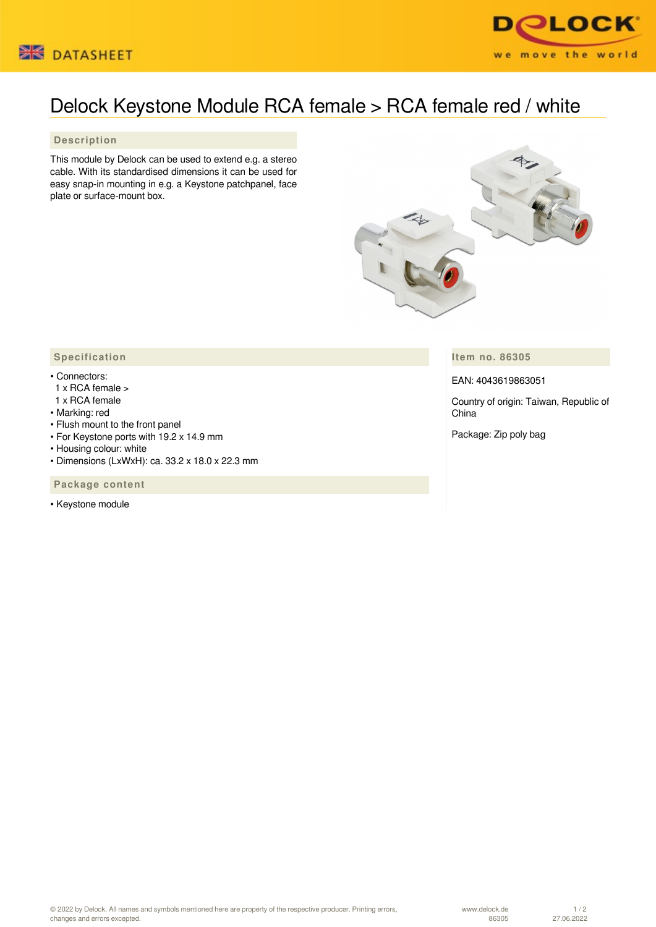



## Delock Keystone Module RCA female > RCA female red / white

## **Description**

This module by Delock can be used to extend e.g. a stereo cable. With its standardised dimensions it can be used for easy snap-in mounting in e.g. a Keystone patchpanel, face plate or surface-mount box.



**Item no. 86305**

EAN: 4043619863051

Country of origin: Taiwan, Republic of China

Package: Zip poly bag

## **Specification**

## • Connectors:

- 1 x RCA female >
- 1 x RCA female
- Marking: red
- Flush mount to the front panel
- For Keystone ports with 19.2 x 14.9 mm
- Housing colour: white
- Dimensions (LxWxH): ca. 33.2 x 18.0 x 22.3 mm

 **Package content**

• Keystone module